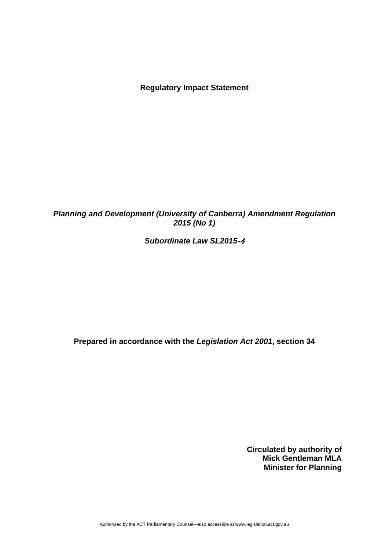**Regulatory Impact Statement** 

## *Planning and Development (University of Canberra) Amendment Regulation 2015 (No 1)*

## *Subordinate Law SL2015*‐4

**Prepared in accordance with the** *Legislation Act 2001***, section 34** 

**Circulated by authority of Mick Gentleman MLA Minister for Planning** 

Authorised by the ACT Parliamentary Counsel—also accessible at www.legislation.act.gov.au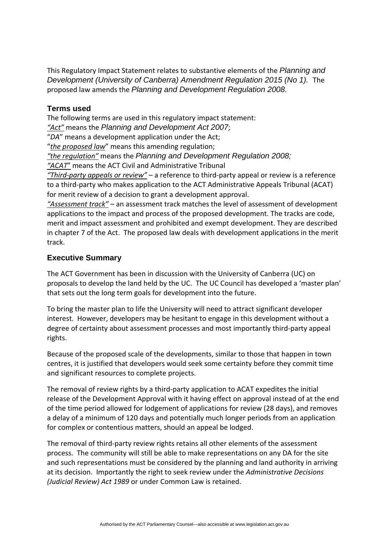This Regulatory Impact Statement relates to substantive elements of the *Planning and Development (University of Canberra) Amendment Regulation 2015 (No 1).* The proposed law amends the *Planning and Development Regulation 2008*.

#### **Terms used**

The following terms are used in this regulatory impact statement: *"Act"* means the *Planning and Development Act 2007*; "*DA*" means a development application under the Act; "*the proposed law*" means this amending regulation; *"the regulation"* means the *Planning and Development Regulation 2008; "ACAT*" means the ACT Civil and Administrative Tribunal *"Third‐party appeals or review"* – a reference to third‐party appeal or review is a reference to a third‐party who makes application to the ACT Administrative Appeals Tribunal (ACAT) for merit review of a decision to grant a development approval.

*"Assessment track"* – an assessment track matches the level of assessment of development applications to the impact and process of the proposed development. The tracks are code, merit and impact assessment and prohibited and exempt development. They are described in chapter 7 of the Act. The proposed law deals with development applications in the merit track.

#### **Executive Summary**

The ACT Government has been in discussion with the University of Canberra (UC) on proposals to develop the land held by the UC. The UC Council has developed a 'master plan' that sets out the long term goals for development into the future.

To bring the master plan to life the University will need to attract significant developer interest. However, developers may be hesitant to engage in this development without a degree of certainty about assessment processes and most importantly third‐party appeal rights.

Because of the proposed scale of the developments, similar to those that happen in town centres, it is justified that developers would seek some certainty before they commit time and significant resources to complete projects.

The removal of review rights by a third-party application to ACAT expedites the initial release of the Development Approval with it having effect on approval instead of at the end of the time period allowed for lodgement of applications for review (28 days), and removes a delay of a minimum of 120 days and potentially much longer periods from an application for complex or contentious matters, should an appeal be lodged.

The removal of third‐party review rights retains all other elements of the assessment process. The community will still be able to make representations on any DA for the site and such representations must be considered by the planning and land authority in arriving at its decision. Importantly the right to seek review under the *Administrative Decisions (Judicial Review) Act 1989* or under Common Law is retained.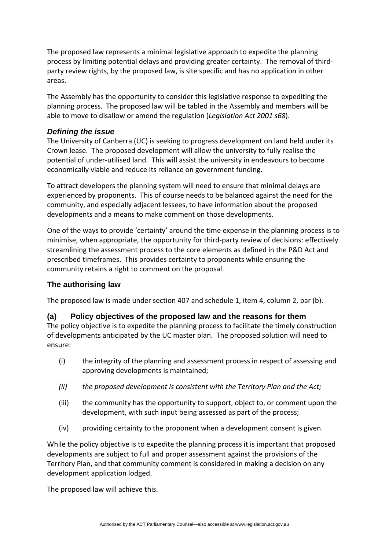The proposed law represents a minimal legislative approach to expedite the planning process by limiting potential delays and providing greater certainty. The removal of third‐ party review rights, by the proposed law, is site specific and has no application in other areas.

The Assembly has the opportunity to consider this legislative response to expediting the planning process. The proposed law will be tabled in the Assembly and members will be able to move to disallow or amend the regulation (*Legislation Act 2001 s68*).

### *Defining the issue*

The University of Canberra (UC) is seeking to progress development on land held under its Crown lease. The proposed development will allow the university to fully realise the potential of under‐utilised land. This will assist the university in endeavours to become economically viable and reduce its reliance on government funding.

To attract developers the planning system will need to ensure that minimal delays are experienced by proponents. This of course needs to be balanced against the need for the community, and especially adjacent lessees, to have information about the proposed developments and a means to make comment on those developments.

One of the ways to provide 'certainty' around the time expense in the planning process is to minimise, when appropriate, the opportunity for third‐party review of decisions: effectively streamlining the assessment process to the core elements as defined in the P&D Act and prescribed timeframes. This provides certainty to proponents while ensuring the community retains a right to comment on the proposal.

## **The authorising law**

The proposed law is made under section 407 and schedule 1, item 4, column 2, par (b).

#### **(a) Policy objectives of the proposed law and the reasons for them**

The policy objective is to expedite the planning process to facilitate the timely construction of developments anticipated by the UC master plan. The proposed solution will need to ensure:

- (i) the integrity of the planning and assessment process in respect of assessing and approving developments is maintained;
- *(ii) the proposed development is consistent with the Territory Plan and the Act;*
- (iii) the community has the opportunity to support, object to, or comment upon the development, with such input being assessed as part of the process;
- (iv) providing certainty to the proponent when a development consent is given.

While the policy objective is to expedite the planning process it is important that proposed developments are subject to full and proper assessment against the provisions of the Territory Plan, and that community comment is considered in making a decision on any development application lodged.

The proposed law will achieve this.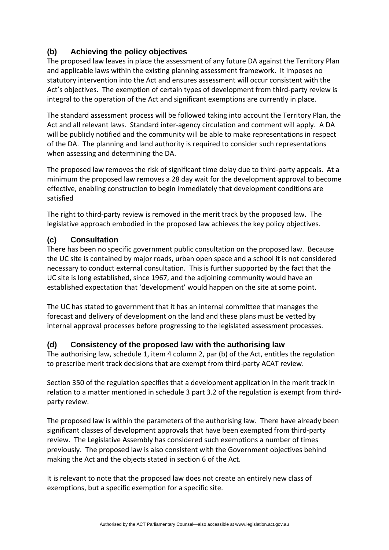# **(b) Achieving the policy objectives**

The proposed law leaves in place the assessment of any future DA against the Territory Plan and applicable laws within the existing planning assessment framework. It imposes no statutory intervention into the Act and ensures assessment will occur consistent with the Act's objectives. The exemption of certain types of development from third‐party review is integral to the operation of the Act and significant exemptions are currently in place.

The standard assessment process will be followed taking into account the Territory Plan, the Act and all relevant laws. Standard inter-agency circulation and comment will apply. A DA will be publicly notified and the community will be able to make representations in respect of the DA. The planning and land authority is required to consider such representations when assessing and determining the DA.

The proposed law removes the risk of significant time delay due to third-party appeals. At a minimum the proposed law removes a 28 day wait for the development approval to become effective, enabling construction to begin immediately that development conditions are satisfied

The right to third‐party review is removed in the merit track by the proposed law. The legislative approach embodied in the proposed law achieves the key policy objectives.

## **(c) Consultation**

There has been no specific government public consultation on the proposed law. Because the UC site is contained by major roads, urban open space and a school it is not considered necessary to conduct external consultation. This is further supported by the fact that the UC site is long established, since 1967, and the adjoining community would have an established expectation that 'development' would happen on the site at some point.

The UC has stated to government that it has an internal committee that manages the forecast and delivery of development on the land and these plans must be vetted by internal approval processes before progressing to the legislated assessment processes.

#### **(d) Consistency of the proposed law with the authorising law**

The authorising law, schedule 1, item 4 column 2, par (b) of the Act, entitles the regulation to prescribe merit track decisions that are exempt from third‐party ACAT review.

Section 350 of the regulation specifies that a development application in the merit track in relation to a matter mentioned in schedule 3 part 3.2 of the regulation is exempt from third‐ party review.

The proposed law is within the parameters of the authorising law. There have already been significant classes of development approvals that have been exempted from third‐party review. The Legislative Assembly has considered such exemptions a number of times previously. The proposed law is also consistent with the Government objectives behind making the Act and the objects stated in section 6 of the Act.

It is relevant to note that the proposed law does not create an entirely new class of exemptions, but a specific exemption for a specific site.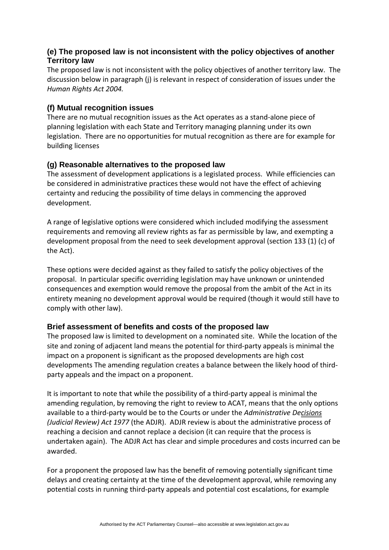## **(e) The proposed law is not inconsistent with the policy objectives of another Territory law**

The proposed law is not inconsistent with the policy objectives of another territory law. The discussion below in paragraph (j) is relevant in respect of consideration of issues under the *Human Rights Act 2004.*

## **(f) Mutual recognition issues**

There are no mutual recognition issues as the Act operates as a stand‐alone piece of planning legislation with each State and Territory managing planning under its own legislation. There are no opportunities for mutual recognition as there are for example for building licenses

### **(g) Reasonable alternatives to the proposed law**

The assessment of development applications is a legislated process. While efficiencies can be considered in administrative practices these would not have the effect of achieving certainty and reducing the possibility of time delays in commencing the approved development.

A range of legislative options were considered which included modifying the assessment requirements and removing all review rights as far as permissible by law, and exempting a development proposal from the need to seek development approval (section 133 (1) (c) of the Act).

These options were decided against as they failed to satisfy the policy objectives of the proposal. In particular specific overriding legislation may have unknown or unintended consequences and exemption would remove the proposal from the ambit of the Act in its entirety meaning no development approval would be required (though it would still have to comply with other law).

#### **Brief assessment of benefits and costs of the proposed law**

The proposed law is limited to development on a nominated site. While the location of the site and zoning of adjacent land means the potential for third-party appeals is minimal the impact on a proponent is significant as the proposed developments are high cost developments The amending regulation creates a balance between the likely hood of third‐ party appeals and the impact on a proponent.

It is important to note that while the possibility of a third‐party appeal is minimal the amending regulation, by removing the right to review to ACAT, means that the only options available to a third‐party would be to the Courts or under the *Administrative Decisions (Judicial Review) Act 1977* (the ADJR). ADJR review is about the administrative process of reaching a decision and cannot replace a decision (it can require that the process is undertaken again). The ADJR Act has clear and simple procedures and costs incurred can be awarded.

For a proponent the proposed law has the benefit of removing potentially significant time delays and creating certainty at the time of the development approval, while removing any potential costs in running third‐party appeals and potential cost escalations, for example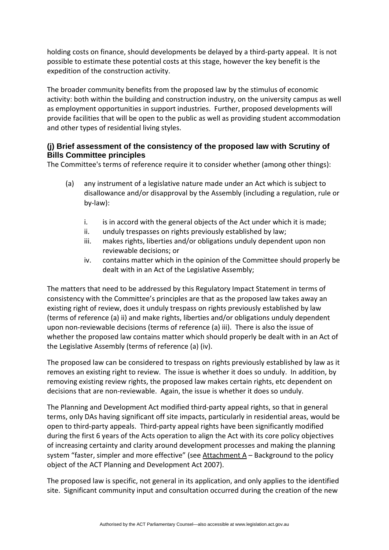holding costs on finance, should developments be delayed by a third-party appeal. It is not possible to estimate these potential costs at this stage, however the key benefit is the expedition of the construction activity.

The broader community benefits from the proposed law by the stimulus of economic activity: both within the building and construction industry, on the university campus as well as employment opportunities in support industries. Further, proposed developments will provide facilities that will be open to the public as well as providing student accommodation and other types of residential living styles.

## **(j) Brief assessment of the consistency of the proposed law with Scrutiny of Bills Committee principles**

The Committee's terms of reference require it to consider whether (among other things):

- (a) any instrument of a legislative nature made under an Act which is subject to disallowance and/or disapproval by the Assembly (including a regulation, rule or by‐law):
	- i. is in accord with the general objects of the Act under which it is made;
	- ii. unduly trespasses on rights previously established by law;
	- iii. makes rights, liberties and/or obligations unduly dependent upon non reviewable decisions; or
	- iv. contains matter which in the opinion of the Committee should properly be dealt with in an Act of the Legislative Assembly;

The matters that need to be addressed by this Regulatory Impact Statement in terms of consistency with the Committee's principles are that as the proposed law takes away an existing right of review, does it unduly trespass on rights previously established by law (terms of reference (a) ii) and make rights, liberties and/or obligations unduly dependent upon non-reviewable decisions (terms of reference (a) iii). There is also the issue of whether the proposed law contains matter which should properly be dealt with in an Act of the Legislative Assembly (terms of reference (a) (iv).

The proposed law can be considered to trespass on rights previously established by law as it removes an existing right to review. The issue is whether it does so unduly. In addition, by removing existing review rights, the proposed law makes certain rights, etc dependent on decisions that are non‐reviewable. Again, the issue is whether it does so unduly.

The Planning and Development Act modified third‐party appeal rights, so that in general terms, only DAs having significant off site impacts, particularly in residential areas, would be open to third‐party appeals. Third‐party appeal rights have been significantly modified during the first 6 years of the Acts operation to align the Act with its core policy objectives of increasing certainty and clarity around development processes and making the planning system "faster, simpler and more effective" (see Attachment A – Background to the policy object of the ACT Planning and Development Act 2007).

The proposed law is specific, not general in its application, and only applies to the identified site. Significant community input and consultation occurred during the creation of the new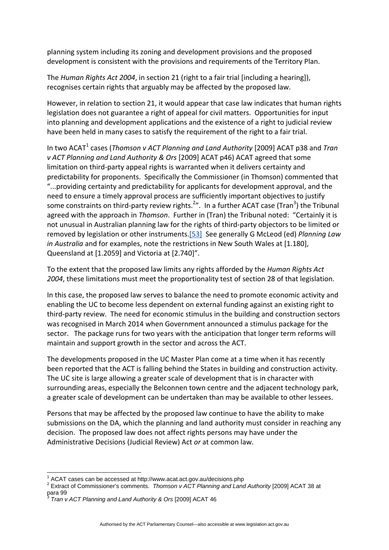planning system including its zoning and development provisions and the proposed development is consistent with the provisions and requirements of the Territory Plan.

The *Human Rights Act 2004*, in section 21 (right to a fair trial [including a hearing]), recognises certain rights that arguably may be affected by the proposed law.

However, in relation to section 21, it would appear that case law indicates that human rights legislation does not guarantee a right of appeal for civil matters. Opportunities for input into planning and development applications and the existence of a right to judicial review have been held in many cases to satisfy the requirement of the right to a fair trial.

In two ACAT<sup>1</sup> cases (*Thomson v ACT Planning and Land Authority* [2009] ACAT p38 and *Tran v ACT Planning and Land Authority & Ors* [2009] ACAT p46) ACAT agreed that some limitation on third‐party appeal rights is warranted when it delivers certainty and predictability for proponents. Specifically the Commissioner (in Thomson) commented that "...providing certainty and predictability for applicants for development approval, and the need to ensure a timely approval process are sufficiently important objectives to justify some constraints on third-party review rights.<sup>2</sup>". In a further ACAT case (Tran<sup>3</sup>) the Tribunal agreed with the approach in *Thomson*. Further in (Tran) the Tribunal noted: "Certainly it is not unusual in Australian planning law for the rights of third‐party objectors to be limited or removed by legislation or other instruments.[\[53\]](http://www.acat.act.gov.au/decisions.php?action=decision&id=63#_ftn53) See generally G McLeod (ed) *Planning Law in Australia* and for examples, note the restrictions in New South Wales at [1.180], Queensland at [1.2059] and Victoria at [2.740]".

To the extent that the proposed law limits any rights afforded by the *Human Rights Act 2004*, these limitations must meet the proportionality test of section 28 of that legislation.

In this case, the proposed law serves to balance the need to promote economic activity and enabling the UC to become less dependent on external funding against an existing right to third‐party review. The need for economic stimulus in the building and construction sectors was recognised in March 2014 when Government announced a stimulus package for the sector. The package runs for two years with the anticipation that longer term reforms will maintain and support growth in the sector and across the ACT.

The developments proposed in the UC Master Plan come at a time when it has recently been reported that the ACT is falling behind the States in building and construction activity. The UC site is large allowing a greater scale of development that is in character with surrounding areas, especially the Belconnen town centre and the adjacent technology park, a greater scale of development can be undertaken than may be available to other lessees.

Persons that may be affected by the proposed law continue to have the ability to make submissions on the DA, which the planning and land authority must consider in reaching any decision. The proposed law does not affect rights persons may have under the Administrative Decisions (Judicial Review) Act *or* at common law.

<sup>1</sup> ACAT cases can be accessed at http://www.acat.act.gov.au/decisions.php

<sup>2</sup> Extract of Commissioner's comments. *Thomson v ACT Planning and Land Authority* [2009] ACAT 38 at para 99

<sup>3</sup> *Tran v ACT Planning and Land Authority & Ors* [2009] ACAT 46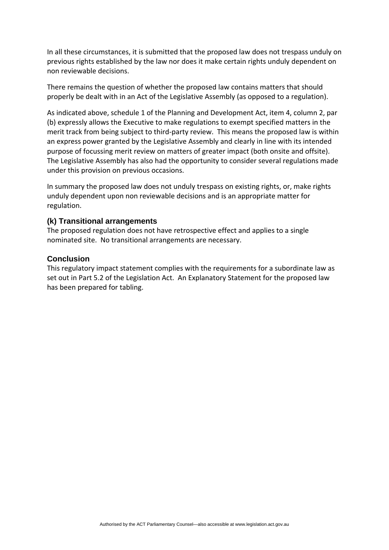In all these circumstances, it is submitted that the proposed law does not trespass unduly on previous rights established by the law nor does it make certain rights unduly dependent on non reviewable decisions.

There remains the question of whether the proposed law contains matters that should properly be dealt with in an Act of the Legislative Assembly (as opposed to a regulation).

As indicated above, schedule 1 of the Planning and Development Act, item 4, column 2, par (b) expressly allows the Executive to make regulations to exempt specified matters in the merit track from being subject to third-party review. This means the proposed law is within an express power granted by the Legislative Assembly and clearly in line with its intended purpose of focussing merit review on matters of greater impact (both onsite and offsite). The Legislative Assembly has also had the opportunity to consider several regulations made under this provision on previous occasions.

In summary the proposed law does not unduly trespass on existing rights, or, make rights unduly dependent upon non reviewable decisions and is an appropriate matter for regulation.

#### **(k) Transitional arrangements**

The proposed regulation does not have retrospective effect and applies to a single nominated site. No transitional arrangements are necessary.

#### **Conclusion**

This regulatory impact statement complies with the requirements for a subordinate law as set out in Part 5.2 of the Legislation Act. An Explanatory Statement for the proposed law has been prepared for tabling.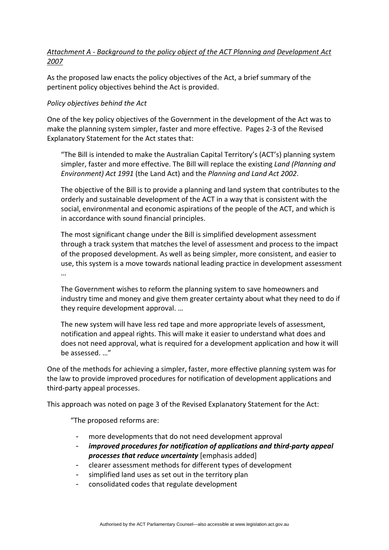## *Attachment A ‐ Background to the policy object of the ACT Planning and Development Act 2007*

As the proposed law enacts the policy objectives of the Act, a brief summary of the pertinent policy objectives behind the Act is provided.

#### *Policy objectives behind the Act*

One of the key policy objectives of the Government in the development of the Act was to make the planning system simpler, faster and more effective. Pages 2-3 of the Revised Explanatory Statement for the Act states that:

"The Bill is intended to make the Australian Capital Territory's (ACT's) planning system simpler, faster and more effective. The Bill will replace the existing *Land (Planning and Environment) Act 1991* (the Land Act) and the *Planning and Land Act 2002*.

The objective of the Bill is to provide a planning and land system that contributes to the orderly and sustainable development of the ACT in a way that is consistent with the social, environmental and economic aspirations of the people of the ACT, and which is in accordance with sound financial principles.

The most significant change under the Bill is simplified development assessment through a track system that matches the level of assessment and process to the impact of the proposed development. As well as being simpler, more consistent, and easier to use, this system is a move towards national leading practice in development assessment …

The Government wishes to reform the planning system to save homeowners and industry time and money and give them greater certainty about what they need to do if they require development approval. …

The new system will have less red tape and more appropriate levels of assessment, notification and appeal rights. This will make it easier to understand what does and does not need approval, what is required for a development application and how it will be assessed. …"

One of the methods for achieving a simpler, faster, more effective planning system was for the law to provide improved procedures for notification of development applications and third‐party appeal processes.

This approach was noted on page 3 of the Revised Explanatory Statement for the Act:

"The proposed reforms are:

- more developments that do not need development approval
- *improved procedures for notification of applications and third‐party appeal processes that reduce uncertainty* [emphasis added]
- clearer assessment methods for different types of development
- simplified land uses as set out in the territory plan
- consolidated codes that regulate development